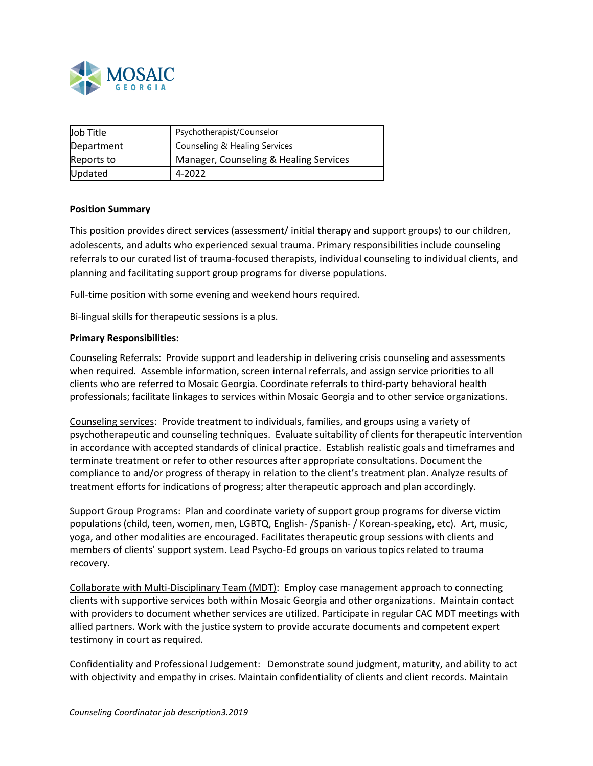

| Job Title  | Psychotherapist/Counselor              |
|------------|----------------------------------------|
| Department | Counseling & Healing Services          |
| Reports to | Manager, Counseling & Healing Services |
| Updated    | 4-2022                                 |

### **Position Summary**

This position provides direct services (assessment/ initial therapy and support groups) to our children, adolescents, and adults who experienced sexual trauma. Primary responsibilities include counseling referrals to our curated list of trauma-focused therapists, individual counseling to individual clients, and planning and facilitating support group programs for diverse populations.

Full-time position with some evening and weekend hours required.

Bi-lingual skills for therapeutic sessions is a plus.

### **Primary Responsibilities:**

Counseling Referrals: Provide support and leadership in delivering crisis counseling and assessments when required. Assemble information, screen internal referrals, and assign service priorities to all clients who are referred to Mosaic Georgia. Coordinate referrals to third-party behavioral health professionals; facilitate linkages to services within Mosaic Georgia and to other service organizations.

Counseling services: Provide treatment to individuals, families, and groups using a variety of psychotherapeutic and counseling techniques. Evaluate suitability of clients for therapeutic intervention in accordance with accepted standards of clinical practice. Establish realistic goals and timeframes and terminate treatment or refer to other resources after appropriate consultations. Document the compliance to and/or progress of therapy in relation to the client's treatment plan. Analyze results of treatment efforts for indications of progress; alter therapeutic approach and plan accordingly.

Support Group Programs: Plan and coordinate variety of support group programs for diverse victim populations (child, teen, women, men, LGBTQ, English- /Spanish- / Korean-speaking, etc). Art, music, yoga, and other modalities are encouraged. Facilitates therapeutic group sessions with clients and members of clients' support system. Lead Psycho-Ed groups on various topics related to trauma recovery.

Collaborate with Multi-Disciplinary Team (MDT): Employ case management approach to connecting clients with supportive services both within Mosaic Georgia and other organizations. Maintain contact with providers to document whether services are utilized. Participate in regular CAC MDT meetings with allied partners. Work with the justice system to provide accurate documents and competent expert testimony in court as required.

Confidentiality and Professional Judgement: Demonstrate sound judgment, maturity, and ability to act with objectivity and empathy in crises. Maintain confidentiality of clients and client records. Maintain